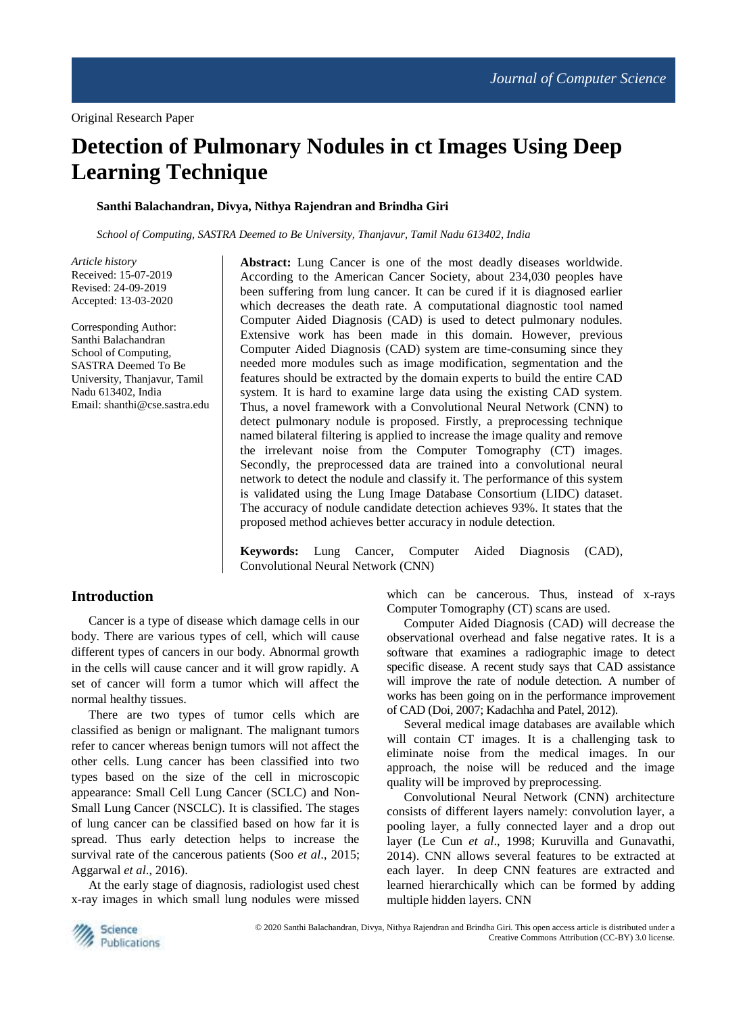# **Detection of Pulmonary Nodules in ct Images Using Deep Learning Technique**

# **Santhi Balachandran, Divya, Nithya Rajendran and Brindha Giri**

*School of Computing, SASTRA Deemed to Be University, Thanjavur, Tamil Nadu 613402, India*

*Article history* Received: 15-07-2019 Revised: 24-09-2019 Accepted: 13-03-2020

Corresponding Author: Santhi Balachandran School of Computing, SASTRA Deemed To Be University, Thanjavur, Tamil Nadu 613402, India Email: shanthi@cse.sastra.edu **Abstract:** Lung Cancer is one of the most deadly diseases worldwide. According to the American Cancer Society, about 234,030 peoples have been suffering from lung cancer. It can be cured if it is diagnosed earlier which decreases the death rate. A computational diagnostic tool named Computer Aided Diagnosis (CAD) is used to detect pulmonary nodules. Extensive work has been made in this domain. However, previous Computer Aided Diagnosis (CAD) system are time-consuming since they needed more modules such as image modification, segmentation and the features should be extracted by the domain experts to build the entire CAD system. It is hard to examine large data using the existing CAD system. Thus, a novel framework with a Convolutional Neural Network (CNN) to detect pulmonary nodule is proposed. Firstly, a preprocessing technique named bilateral filtering is applied to increase the image quality and remove the irrelevant noise from the Computer Tomography (CT) images. Secondly, the preprocessed data are trained into a convolutional neural network to detect the nodule and classify it. The performance of this system is validated using the Lung Image Database Consortium (LIDC) dataset. The accuracy of nodule candidate detection achieves 93%. It states that the proposed method achieves better accuracy in nodule detection.

**Keywords:** Lung Cancer, Computer Aided Diagnosis (CAD), Convolutional Neural Network (CNN)

# **Introduction**

Cancer is a type of disease which damage cells in our body. There are various types of cell, which will cause different types of cancers in our body. Abnormal growth in the cells will cause cancer and it will grow rapidly. A set of cancer will form a tumor which will affect the normal healthy tissues.

There are two types of tumor cells which are classified as benign or malignant. The malignant tumors refer to cancer whereas benign tumors will not affect the other cells. Lung cancer has been classified into two types based on the size of the cell in microscopic appearance: Small Cell Lung Cancer (SCLC) and Non-Small Lung Cancer (NSCLC). It is classified. The stages of lung cancer can be classified based on how far it is spread. Thus early detection helps to increase the survival rate of the cancerous patients (Soo *et al*., 2015; Aggarwal *et al*., 2016).

At the early stage of diagnosis, radiologist used chest x-ray images in which small lung nodules were missed

which can be cancerous. Thus, instead of x-rays Computer Tomography (CT) scans are used.

Computer Aided Diagnosis (CAD) will decrease the observational overhead and false negative rates. It is a software that examines a radiographic image to detect specific disease. A recent study says that CAD assistance will improve the rate of nodule detection. A number of works has been going on in the performance improvement of CAD (Doi, 2007; Kadachha and Patel, 2012).

Several medical image databases are available which will contain CT images. It is a challenging task to eliminate noise from the medical images. In our approach, the noise will be reduced and the image quality will be improved by preprocessing.

Convolutional Neural Network (CNN) architecture consists of different layers namely: convolution layer, a pooling layer, a fully connected layer and a drop out layer (Le Cun *et al*., 1998; Kuruvilla and Gunavathi, 2014). CNN allows several features to be extracted at each layer. In deep CNN features are extracted and learned hierarchically which can be formed by adding multiple hidden layers. CNN

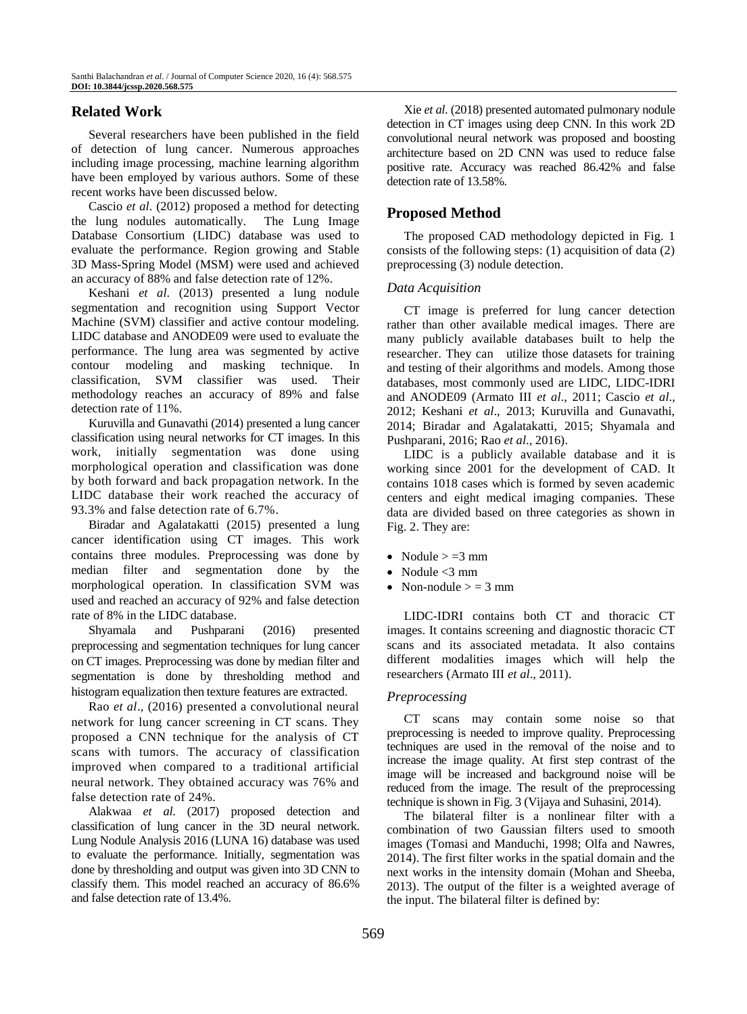# **Related Work**

Several researchers have been published in the field of detection of lung cancer. Numerous approaches including image processing, machine learning algorithm have been employed by various authors. Some of these recent works have been discussed below.

Cascio *et al*. (2012) proposed a method for detecting the lung nodules automatically. The Lung Image Database Consortium (LIDC) database was used to evaluate the performance. Region growing and Stable 3D Mass-Spring Model (MSM) were used and achieved an accuracy of 88% and false detection rate of 12%.

Keshani *et al*. (2013) presented a lung nodule segmentation and recognition using Support Vector Machine (SVM) classifier and active contour modeling. LIDC database and ANODE09 were used to evaluate the performance. The lung area was segmented by active contour modeling and masking technique. In classification, SVM classifier was used. Their methodology reaches an accuracy of 89% and false detection rate of 11%.

Kuruvilla and Gunavathi (2014) presented a lung cancer classification using neural networks for CT images. In this work, initially segmentation was done using morphological operation and classification was done by both forward and back propagation network. In the LIDC database their work reached the accuracy of 93.3% and false detection rate of 6.7%.

Biradar and Agalatakatti (2015) presented a lung cancer identification using CT images. This work contains three modules. Preprocessing was done by median filter and segmentation done by the morphological operation. In classification SVM was used and reached an accuracy of 92% and false detection rate of 8% in the LIDC database.

Shyamala and Pushparani (2016) presented preprocessing and segmentation techniques for lung cancer on CT images. Preprocessing was done by median filter and segmentation is done by thresholding method and histogram equalization then texture features are extracted.

Rao *et al*., (2016) presented a convolutional neural network for lung cancer screening in CT scans. They proposed a CNN technique for the analysis of CT scans with tumors. The accuracy of classification improved when compared to a traditional artificial neural network. They obtained accuracy was 76% and false detection rate of 24%.

Alakwaa *et al*. (2017) proposed detection and classification of lung cancer in the 3D neural network. Lung Nodule Analysis 2016 (LUNA 16) database was used to evaluate the performance. Initially, segmentation was done by thresholding and output was given into 3D CNN to classify them. This model reached an accuracy of 86.6% and false detection rate of 13.4%.

Xie *et al*. (2018) presented automated pulmonary nodule detection in CT images using deep CNN. In this work 2D convolutional neural network was proposed and boosting architecture based on 2D CNN was used to reduce false positive rate. Accuracy was reached 86.42% and false detection rate of 13.58%.

# **Proposed Method**

The proposed CAD methodology depicted in Fig. 1 consists of the following steps: (1) acquisition of data (2) preprocessing (3) nodule detection.

# *Data Acquisition*

CT image is preferred for lung cancer detection rather than other available medical images. There are many publicly available databases built to help the researcher. They can utilize those datasets for training and testing of their algorithms and models. Among those databases, most commonly used are LIDC, LIDC-IDRI and ANODE09 (Armato III *et al*., 2011; Cascio *et al*., 2012; Keshani *et al*., 2013; Kuruvilla and Gunavathi, 2014; Biradar and Agalatakatti, 2015; Shyamala and Pushparani, 2016; Rao *et al*., 2016).

LIDC is a publicly available database and it is working since 2001 for the development of CAD. It contains 1018 cases which is formed by seven academic centers and eight medical imaging companies. These data are divided based on three categories as shown in Fig. 2. They are:

- Nodule  $> =3$  mm
- Nodule  $<$ 3 mm
- Non-nodule  $>$  = 3 mm

LIDC-IDRI contains both CT and thoracic CT images. It contains screening and diagnostic thoracic CT scans and its associated metadata. It also contains different modalities images which will help the researchers (Armato III *et al*., 2011).

#### *Preprocessing*

CT scans may contain some noise so that preprocessing is needed to improve quality. Preprocessing techniques are used in the removal of the noise and to increase the image quality. At first step contrast of the image will be increased and background noise will be reduced from the image. The result of the preprocessing technique is shown in Fig. 3 (Vijaya and Suhasini, 2014).

The bilateral filter is a nonlinear filter with a combination of two Gaussian filters used to smooth images (Tomasi and Manduchi, 1998; Olfa and Nawres, 2014). The first filter works in the spatial domain and the next works in the intensity domain (Mohan and Sheeba, 2013). The output of the filter is a weighted average of the input. The bilateral filter is defined by: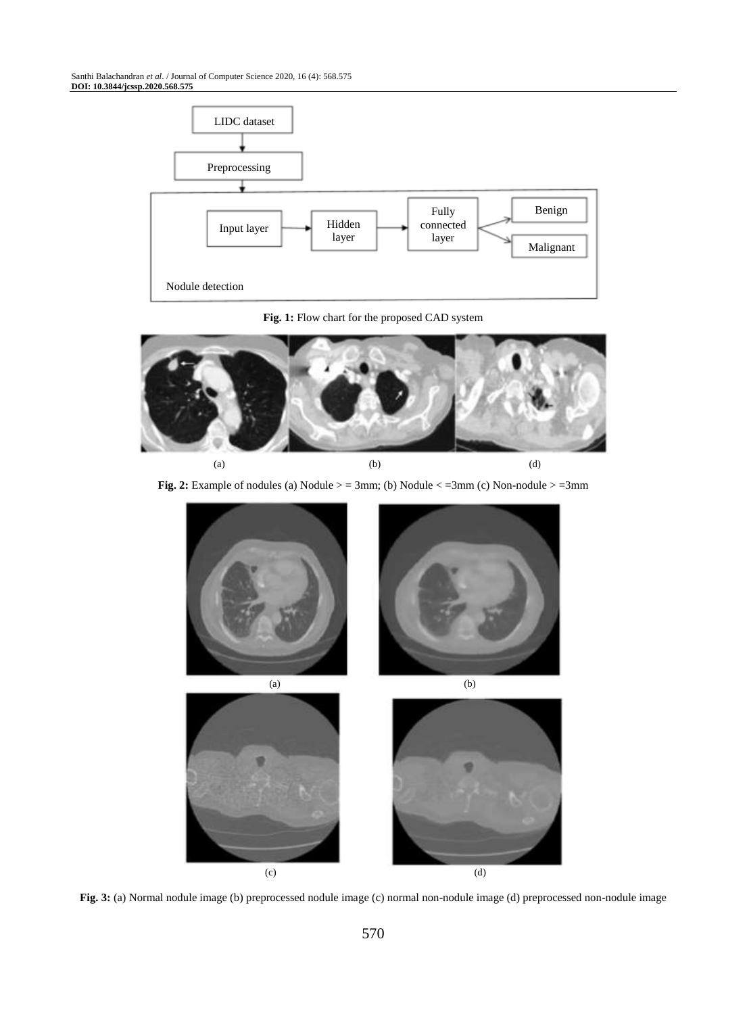#### Santhi Balachandran *et al*. / Journal of Computer Science 2020, 16 (4): 568.575 **DOI: 10.3844/jcssp.2020.568.575**



#### **Fig. 1:** Flow chart for the proposed CAD system



**Fig. 2:** Example of nodules (a) Nodule  $>$  = 3mm; (b) Nodule  $<$  = 3mm (c) Non-nodule  $>$  = 3mm



**Fig. 3:** (a) Normal nodule image (b) preprocessed nodule image (c) normal non-nodule image (d) preprocessed non-nodule image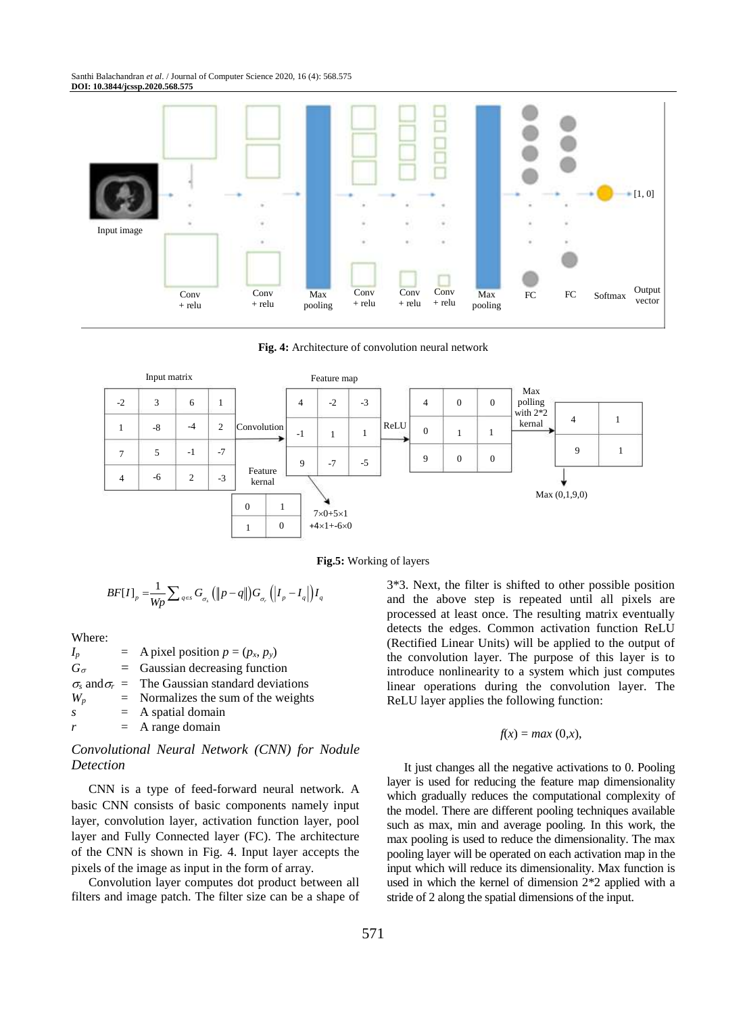

**Fig. 4:** Architecture of convolution neural network



**Fig.5:** Working of layers

$$
BF[I]_p = \frac{1}{Wp} \sum_{q \in S} G_{\sigma_s} (\Vert p - q \Vert) G_{\sigma_r} (I_p - I_q) I_q
$$

### Where:

 $I_p$  = A pixel position  $p = (p_x, p_y)$  $G_{\sigma}$  = Gaussian decreasing function  $\sigma_s$  and  $\sigma_r$  = The Gaussian standard deviations  $W_p$  = Normalizes the sum of the weights *s* = A spatial domain  $r = A$  range domain

# *Convolutional Neural Network (CNN) for Nodule Detection*

CNN is a type of feed-forward neural network. A basic CNN consists of basic components namely input layer, convolution layer, activation function layer, pool layer and Fully Connected layer (FC). The architecture of the CNN is shown in Fig. 4. Input layer accepts the pixels of the image as input in the form of array.

Convolution layer computes dot product between all filters and image patch. The filter size can be a shape of 3\*3. Next, the filter is shifted to other possible position and the above step is repeated until all pixels are processed at least once. The resulting matrix eventually detects the edges. Common activation function ReLU (Rectified Linear Units) will be applied to the output of the convolution layer. The purpose of this layer is to introduce nonlinearity to a system which just computes linear operations during the convolution layer. The ReLU layer applies the following function:

#### $f(x) = max(0, x)$ ,

It just changes all the negative activations to 0. Pooling layer is used for reducing the feature map dimensionality which gradually reduces the computational complexity of the model. There are different pooling techniques available such as max, min and average pooling. In this work, the max pooling is used to reduce the dimensionality. The max pooling layer will be operated on each activation map in the input which will reduce its dimensionality. Max function is used in which the kernel of dimension 2\*2 applied with a stride of 2 along the spatial dimensions of the input.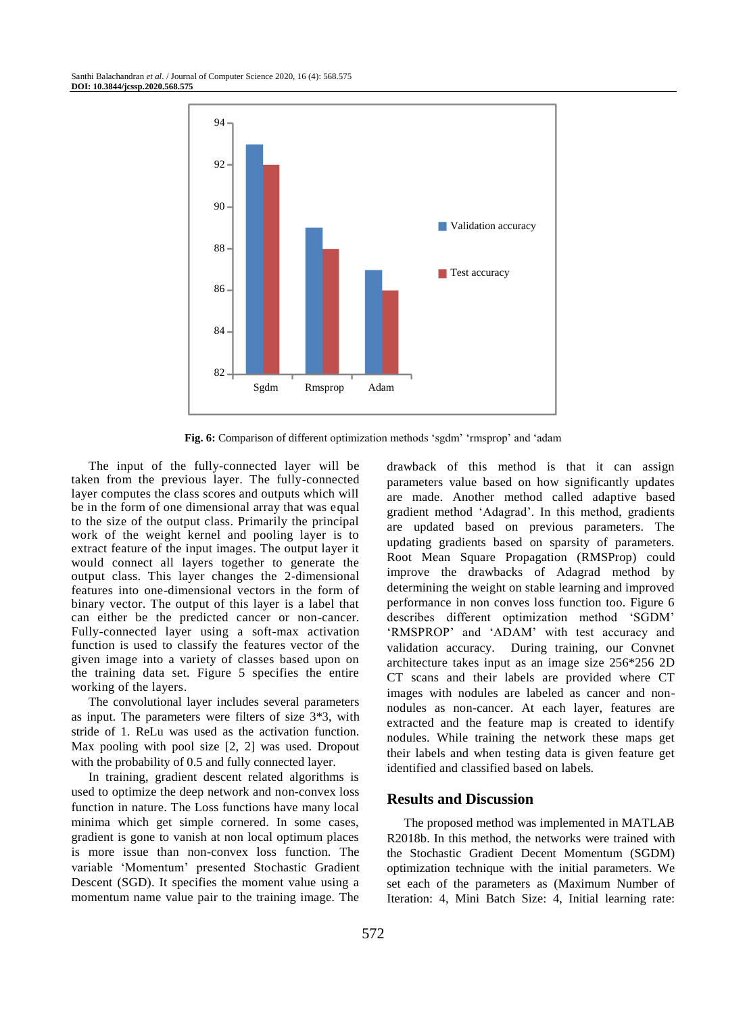

**Fig. 6:** Comparison of different optimization methods 'sgdm' 'rmsprop' and 'adam

The input of the fully-connected layer will be taken from the previous layer. The fully-connected layer computes the class scores and outputs which will be in the form of one dimensional array that was equal to the size of the output class. Primarily the principal work of the weight kernel and pooling layer is to extract feature of the input images. The output layer it would connect all layers together to generate the output class. This layer changes the 2-dimensional features into one-dimensional vectors in the form of binary vector. The output of this layer is a label that can either be the predicted cancer or non-cancer. Fully-connected layer using a soft-max activation function is used to classify the features vector of the given image into a variety of classes based upon on the training data set. Figure 5 specifies the entire working of the layers.

The convolutional layer includes several parameters as input. The parameters were filters of size 3\*3, with stride of 1. ReLu was used as the activation function. Max pooling with pool size [2, 2] was used. Dropout with the probability of 0.5 and fully connected layer.

In training, gradient descent related algorithms is used to optimize the deep network and non-convex loss function in nature. The Loss functions have many local minima which get simple cornered. In some cases, gradient is gone to vanish at non local optimum places is more issue than non-convex loss function. The variable 'Momentum' presented Stochastic Gradient Descent (SGD). It specifies the moment value using a momentum name value pair to the training image. The drawback of this method is that it can assign parameters value based on how significantly updates are made. Another method called adaptive based gradient method 'Adagrad'. In this method, gradients are updated based on previous parameters. The updating gradients based on sparsity of parameters. Root Mean Square Propagation (RMSProp) could improve the drawbacks of Adagrad method by determining the weight on stable learning and improved performance in non conves loss function too. Figure 6 describes different optimization method 'SGDM' 'RMSPROP' and 'ADAM' with test accuracy and validation accuracy. During training, our Convnet architecture takes input as an image size 256\*256 2D CT scans and their labels are provided where CT images with nodules are labeled as cancer and nonnodules as non-cancer. At each layer, features are extracted and the feature map is created to identify nodules. While training the network these maps get their labels and when testing data is given feature get identified and classified based on labels.

### **Results and Discussion**

The proposed method was implemented in MATLAB R2018b. In this method, the networks were trained with the Stochastic Gradient Decent Momentum (SGDM) optimization technique with the initial parameters. We set each of the parameters as (Maximum Number of Iteration: 4, Mini Batch Size: 4, Initial learning rate: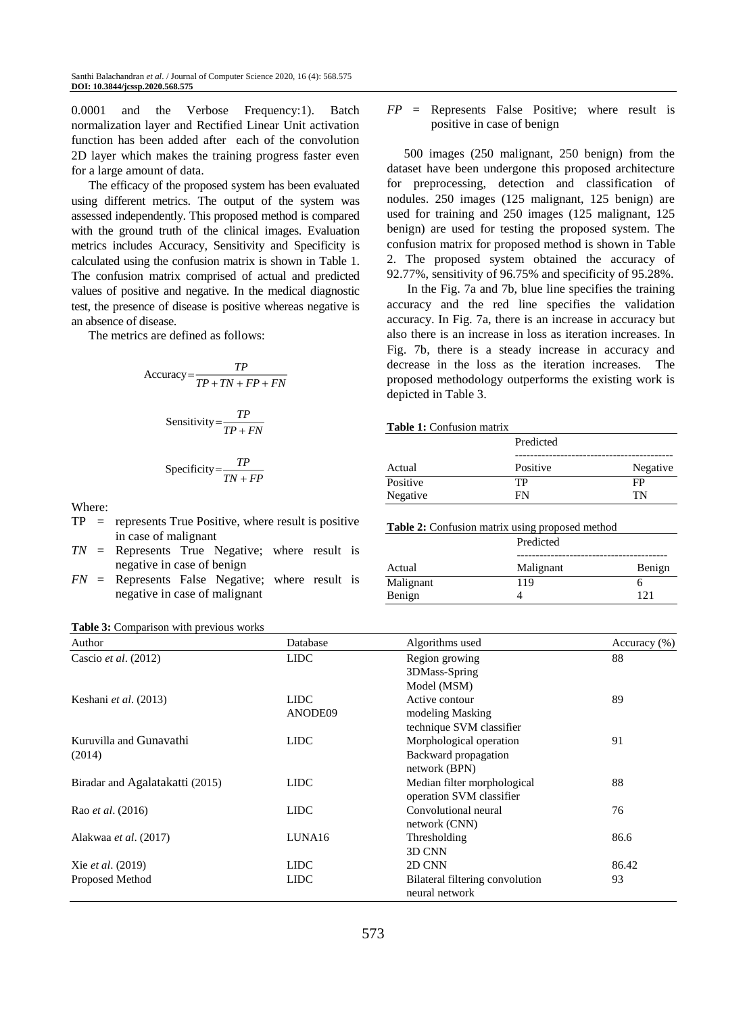0.0001 and the Verbose Frequency:1). Batch normalization layer and Rectified Linear Unit activation function has been added after each of the convolution 2D layer which makes the training progress faster even for a large amount of data.

The efficacy of the proposed system has been evaluated using different metrics. The output of the system was assessed independently. This proposed method is compared with the ground truth of the clinical images. Evaluation metrics includes Accuracy, Sensitivity and Specificity is calculated using the confusion matrix is shown in Table 1. The confusion matrix comprised of actual and predicted values of positive and negative. In the medical diagnostic test, the presence of disease is positive whereas negative is an absence of disease.

The metrics are defined as follows:

$$
Accuracy = \frac{TP}{TP + TN + FP + FN}
$$
\n
$$
TP = \frac{TP}{TP + TN + FP + FN}
$$

Sensitivity = 
$$
\frac{TP}{TP + FN}
$$

$$
Specificity = \frac{TP}{TN + FP}
$$

Where:

 $TP$  = represents True Positive, where result is positive in case of malignant

*TN* = Represents True Negative; where result is negative in case of benign

*FN* = Represents False Negative; where result is negative in case of malignant

| <b>Table 3:</b> Comparison with previous works |  |  |  |  |  |
|------------------------------------------------|--|--|--|--|--|
|------------------------------------------------|--|--|--|--|--|

# *FP* = Represents False Positive; where result is positive in case of benign

500 images (250 malignant, 250 benign) from the dataset have been undergone this proposed architecture for preprocessing, detection and classification of nodules. 250 images (125 malignant, 125 benign) are used for training and 250 images (125 malignant, 125 benign) are used for testing the proposed system. The confusion matrix for proposed method is shown in Table 2. The proposed system obtained the accuracy of 92.77%, sensitivity of 96.75% and specificity of 95.28%.

In the Fig. 7a and 7b, blue line specifies the training accuracy and the red line specifies the validation accuracy. In Fig. 7a, there is an increase in accuracy but also there is an increase in loss as iteration increases. In Fig. 7b, there is a steady increase in accuracy and decrease in the loss as the iteration increases. The proposed methodology outperforms the existing work is depicted in Table 3.

#### **Table 1:** Confusion matrix

|          | Predicted |          |  |
|----------|-----------|----------|--|
| Actual   | Positive  | Negative |  |
| Positive | TР        | FP       |  |
| Negative | FN        | TN       |  |

**Table 2:** Confusion matrix using proposed method

|           | Predicted | Benign |  |
|-----------|-----------|--------|--|
| Actual    | Malignant |        |  |
| Malignant | 119       |        |  |
| Benign    |           | 121    |  |

| Author                          | Database    | Algorithms used                 | Accuracy $(\% )$ |  |
|---------------------------------|-------------|---------------------------------|------------------|--|
| Cascio et al. (2012)            | <b>LIDC</b> | Region growing                  | 88               |  |
|                                 |             | 3DMass-Spring                   |                  |  |
|                                 |             | Model (MSM)                     |                  |  |
| Keshani et al. (2013)           | <b>LIDC</b> | Active contour                  | 89               |  |
|                                 | ANODE09     | modeling Masking                |                  |  |
|                                 |             | technique SVM classifier        |                  |  |
| Kuruvilla and Gunavathi         | <b>LIDC</b> | Morphological operation         | 91               |  |
| (2014)                          |             | Backward propagation            |                  |  |
|                                 |             | network (BPN)                   |                  |  |
| Biradar and Agalatakatti (2015) | <b>LIDC</b> | Median filter morphological     | 88               |  |
|                                 |             | operation SVM classifier        |                  |  |
| Rao <i>et al.</i> (2016)        | <b>LIDC</b> | Convolutional neural            | 76               |  |
|                                 |             | network (CNN)                   |                  |  |
| Alakwaa et al. (2017)           | LUNA16      | Thresholding                    | 86.6             |  |
|                                 |             | 3D CNN                          |                  |  |
| Xie et al. (2019)               | <b>LIDC</b> | 2D CNN                          | 86.42            |  |
| Proposed Method                 | <b>LIDC</b> | Bilateral filtering convolution | 93               |  |
|                                 |             | neural network                  |                  |  |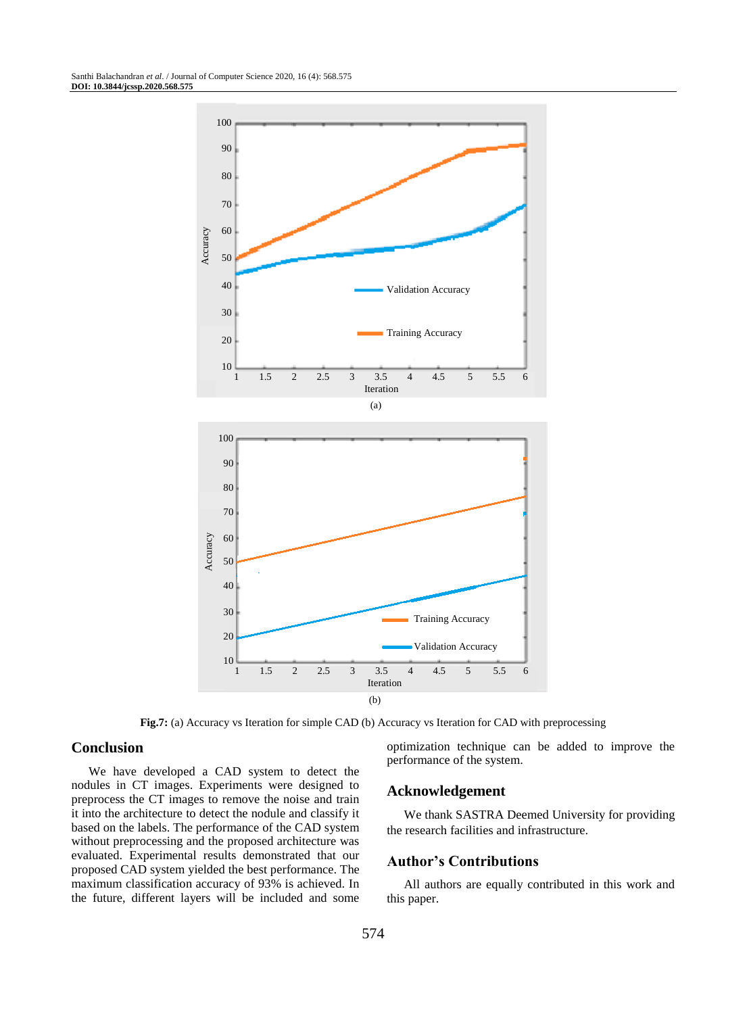

**Fig.7:** (a) Accuracy vs Iteration for simple CAD (b) Accuracy vs Iteration for CAD with preprocessing

# **Conclusion**

We have developed a CAD system to detect the nodules in CT images. Experiments were designed to preprocess the CT images to remove the noise and train it into the architecture to detect the nodule and classify it based on the labels. The performance of the CAD system without preprocessing and the proposed architecture was evaluated. Experimental results demonstrated that our proposed CAD system yielded the best performance. The maximum classification accuracy of 93% is achieved. In the future, different layers will be included and some optimization technique can be added to improve the performance of the system.

#### **Acknowledgement**

We thank SASTRA Deemed University for providing the research facilities and infrastructure.

#### **Author's Contributions**

All authors are equally contributed in this work and this paper.